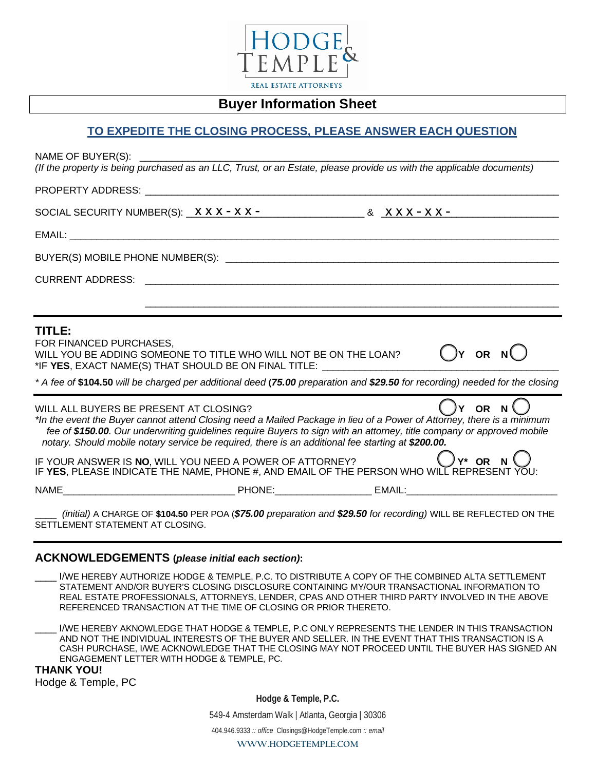

## **Buyer Information Sheet**

## **TO EXPEDITE THE CLOSING PROCESS, PLEASE ANSWER EACH QUESTION**

| NAME OF BUYER(S): ______<br>(If the property is being purchased as an LLC, Trust, or an Estate, please provide us with the applicable documents)                                                                                                                                                                                                                                                                                     |
|--------------------------------------------------------------------------------------------------------------------------------------------------------------------------------------------------------------------------------------------------------------------------------------------------------------------------------------------------------------------------------------------------------------------------------------|
|                                                                                                                                                                                                                                                                                                                                                                                                                                      |
| SOCIAL SECURITY NUMBER(S): $\overline{X} \overline{X} \overline{X} - \overline{X} \overline{X} -$ & $\overline{X} \overline{X} \overline{X} - \overline{X} \overline{X} -$                                                                                                                                                                                                                                                           |
|                                                                                                                                                                                                                                                                                                                                                                                                                                      |
|                                                                                                                                                                                                                                                                                                                                                                                                                                      |
|                                                                                                                                                                                                                                                                                                                                                                                                                                      |
| TITLE:<br>FOR FINANCED PURCHASES,<br>$()$ Y OR N $()$<br>WILL YOU BE ADDING SOMEONE TO TITLE WHO WILL NOT BE ON THE LOAN?<br>*IF YES, EXACT NAME(S) THAT SHOULD BE ON FINAL TITLE: __________________________                                                                                                                                                                                                                        |
| * A fee of \$104.50 will be charged per additional deed (75.00 preparation and \$29.50 for recording) needed for the closing                                                                                                                                                                                                                                                                                                         |
| Y OR N<br>WILL ALL BUYERS BE PRESENT AT CLOSING?<br>*In the event the Buyer cannot attend Closing need a Mailed Package in lieu of a Power of Attorney, there is a minimum<br>fee of \$150.00. Our underwriting guidelines require Buyers to sign with an attorney, title company or approved mobile<br>notary. Should mobile notary service be required, there is an additional fee starting at \$200.00.<br>.)γ* or N <sup>(</sup> |
| IF YOUR ANSWER IS NO, WILL YOU NEED A POWER OF ATTORNEY?<br>IF YES, PLEASE INDICATE THE NAME, PHONE #, AND EMAIL OF THE PERSON WHO WILL REPRESENT YOU:                                                                                                                                                                                                                                                                               |
|                                                                                                                                                                                                                                                                                                                                                                                                                                      |
| (initial) A CHARGE OF \$104.50 PER POA (\$75.00 preparation and \$29.50 for recording) WILL BE REFLECTED ON THE<br>SETTLEMENT STATEMENT AT CLOSING.                                                                                                                                                                                                                                                                                  |
| <b>ACKNOWLEDGEMENTS (please initial each section):</b>                                                                                                                                                                                                                                                                                                                                                                               |
| I/WE HEREBY AUTHORIZE HODGE & TEMPLE, P.C. TO DISTRIBUTE A COPY OF THE COMBINED ALTA SETTLEMENT<br>STATEMENT AND/OR BUYER'S CLOSING DISCLOSURE CONTAINING MY/OUR TRANSACTIONAL INFORMATION TO<br>REAL ESTATE PROFESSIONALS, ATTORNEYS, LENDER, CPAS AND OTHER THIRD PARTY INVOLVED IN THE ABOVE<br>REFERENCED TRANSACTION AT THE TIME OF CLOSING OR PRIOR THERETO.                                                                   |
| I/WE HEREBY AKNOWLEDGE THAT HODGE & TEMPLE, P.C ONLY REPRESENTS THE LENDER IN THIS TRANSACTION<br>AND NOT THE INDIVIDUAL INTERESTS OF THE BUYER AND SELLER. IN THE EVENT THAT THIS TRANSACTION IS A<br>CASH PURCHASE, I/WE ACKNOWLEDGE THAT THE CLOSING MAY NOT PROCEED UNTIL THE BUYER HAS SIGNED AN<br>ENGAGEMENT LETTER WITH HODGE & TEMPLE, PC.<br><b>THANK YOU!</b><br>Hodge & Temple, PC                                       |
| Hodge & Temple, P.C.                                                                                                                                                                                                                                                                                                                                                                                                                 |

549-4 Amsterdam Walk | Atlanta, Georgia | 30306

404.946.9333 *:: office* Closings@HodgeTemple.com *:: email* 

**WWW.HODGETEMPLE.COM**